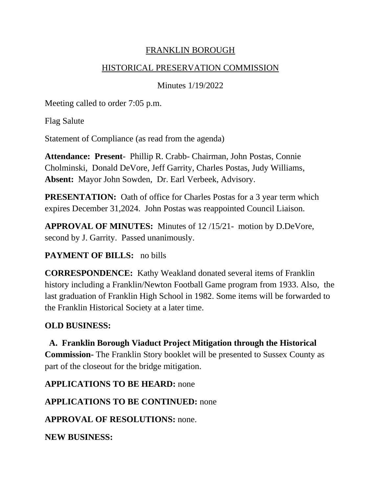## FRANKLIN BOROUGH

#### HISTORICAL PRESERVATION COMMISSION

Minutes 1/19/2022

Meeting called to order 7:05 p.m.

Flag Salute

Statement of Compliance (as read from the agenda)

**Attendance: Present**- Phillip R. Crabb- Chairman, John Postas, Connie Cholminski, Donald DeVore, Jeff Garrity, Charles Postas, Judy Williams, **Absent:** Mayor John Sowden, Dr. Earl Verbeek, Advisory.

**PRESENTATION:** Oath of office for Charles Postas for a 3 year term which expires December 31,2024. John Postas was reappointed Council Liaison.

**APPROVAL OF MINUTES:** Minutes of 12 /15/21- motion by D.DeVore, second by J. Garrity. Passed unanimously.

## **PAYMENT OF BILLS:** no bills

**CORRESPONDENCE:** Kathy Weakland donated several items of Franklin history including a Franklin/Newton Football Game program from 1933. Also, the last graduation of Franklin High School in 1982. Some items will be forwarded to the Franklin Historical Society at a later time.

# **OLD BUSINESS:**

**A. Franklin Borough Viaduct Project Mitigation through the Historical Commission-** The Franklin Story booklet will be presented to Sussex County as part of the closeout for the bridge mitigation.

**APPLICATIONS TO BE HEARD:** none

**APPLICATIONS TO BE CONTINUED:** none

**APPROVAL OF RESOLUTIONS:** none.

**NEW BUSINESS:**